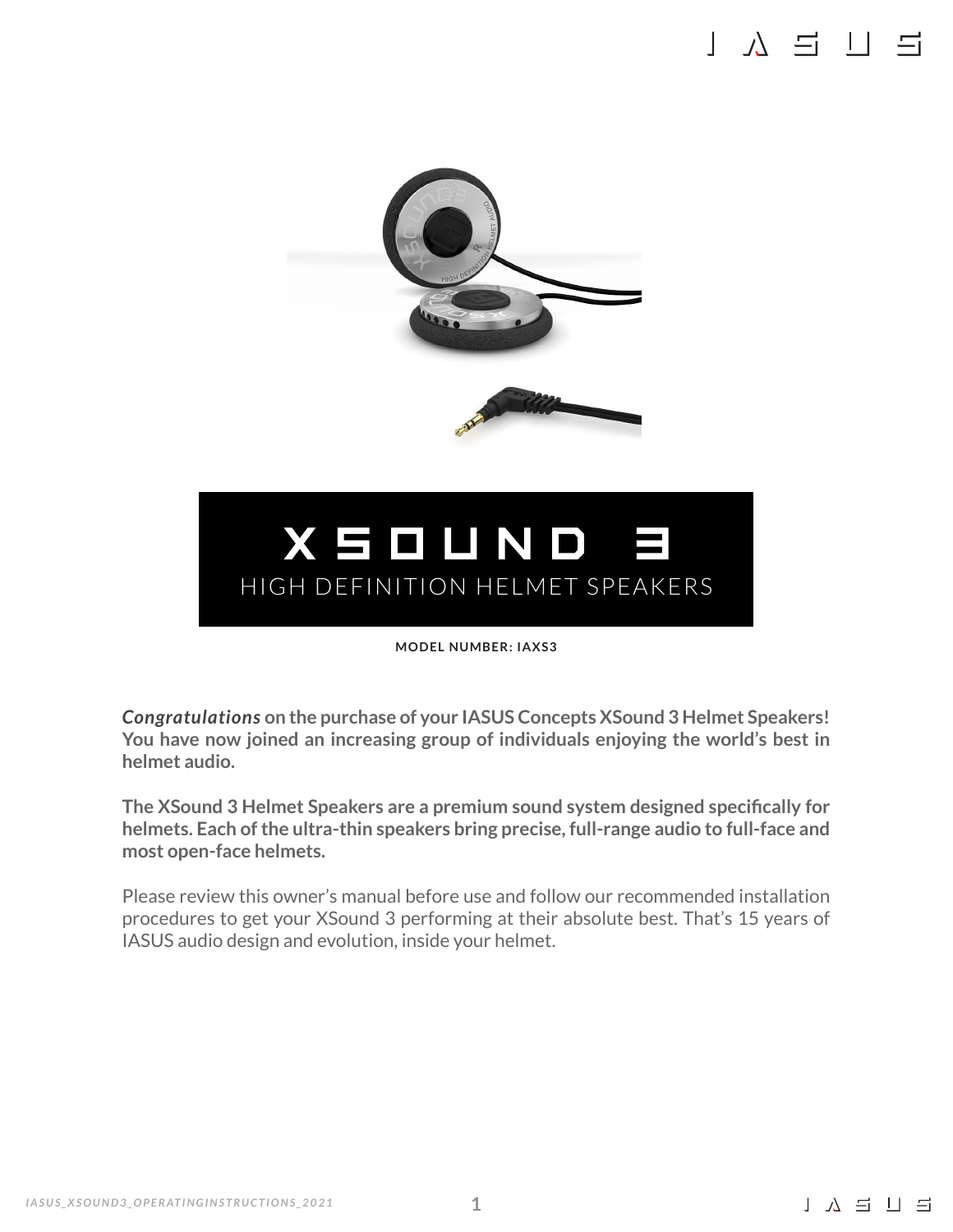## $\begin{bmatrix} 1 & \lambda & -1 \\ 1 & \lambda & -1 \end{bmatrix}$



# XSOUND 3 HIGH DEFINITION HELMET SPEAKERS

**MODEL NUMBER: IAXS3**

*Congratulations* **on the purchase of your IASUS Concepts XSound 3 Helmet Speakers! You have now joined an increasing group of individuals enjoying the world's best in helmet audio.**

**The XSound 3 Helmet Speakers are a premium sound system designed specifically for helmets. Each of the ultra-thin speakers bring precise, full-range audio to full-face and most open-face helmets.**

Please review this owner's manual before use and follow our recommended installation procedures to get your XSound 3 performing at their absolute best. That's 15 years of IASUS audio design and evolution, inside your helmet.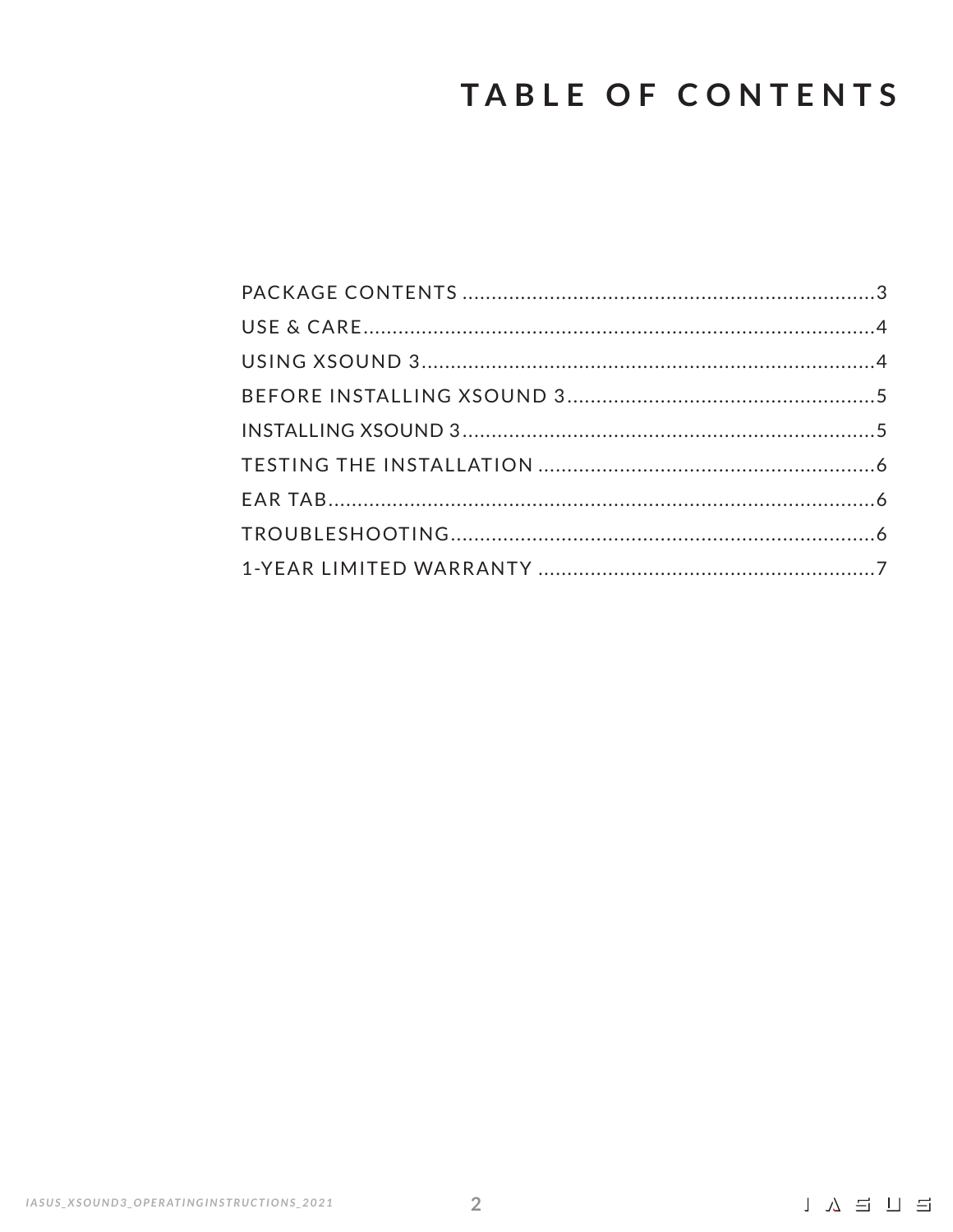# TABLE OF CONTENTS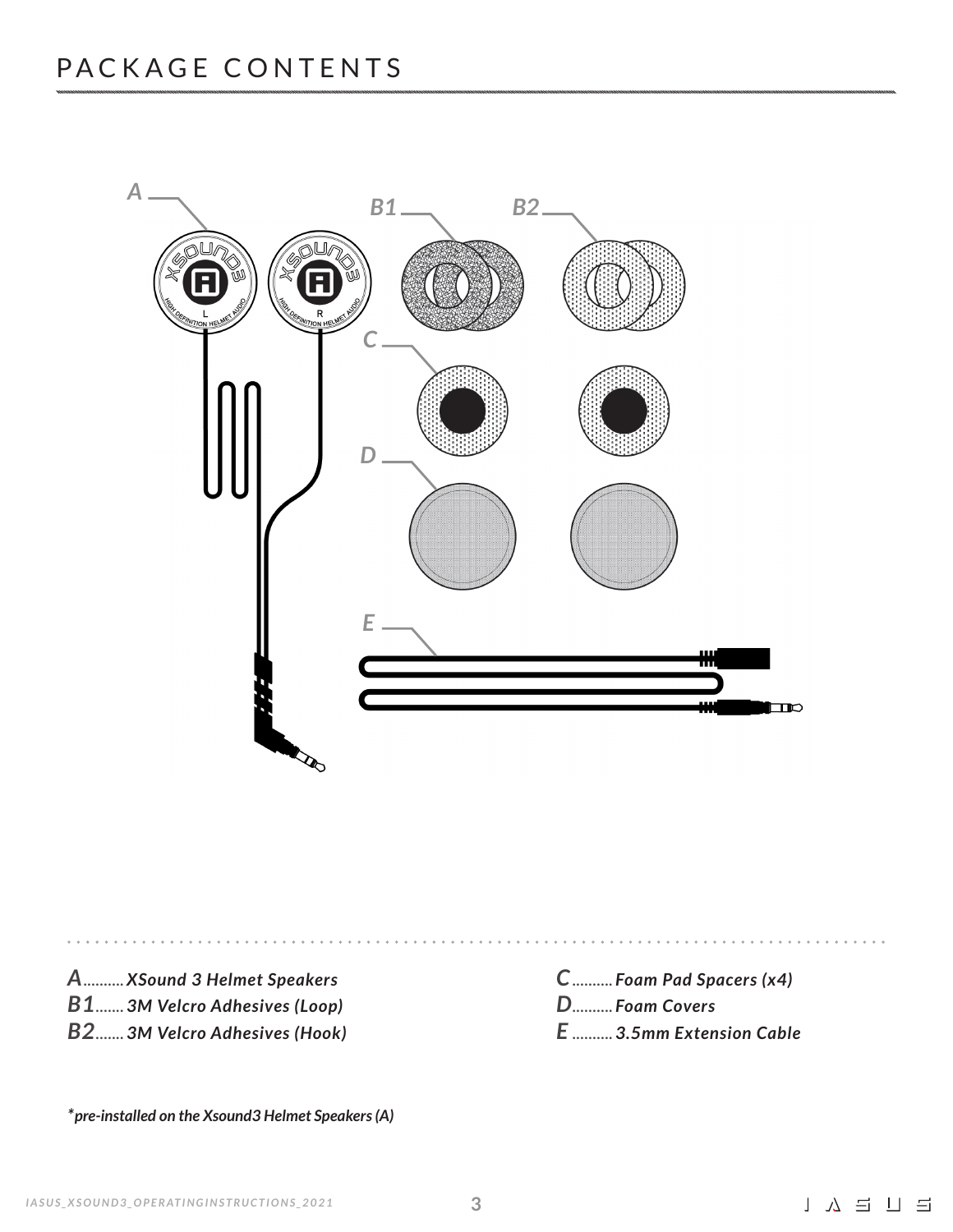

*A.......... XSound 3 Helmet Speakers B1....... 3M Velcro Adhesives (Loop)*

*B2....... 3M Velcro Adhesives (Hook)*

*C.......... Foam Pad Spacers (x4) D.......... Foam Covers E .......... 3.5mm Extension Cable*

*\*pre-installed on the Xsound3 Helmet Speakers (A)*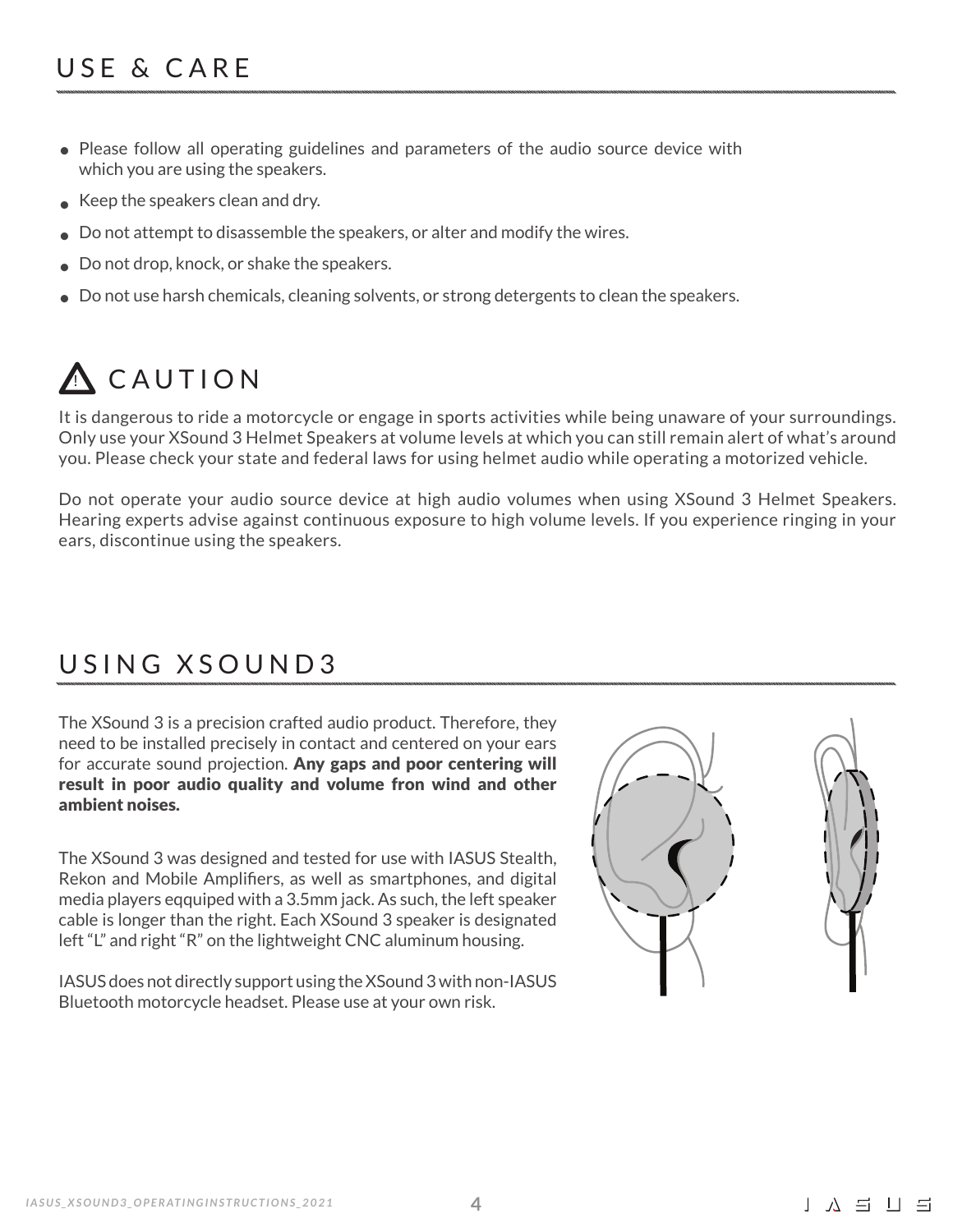- Please follow all operating guidelines and parameters of the audio source device with which you are using the speakers.
- Keep the speakers clean and dry. •
- Do not attempt to disassemble the speakers, or alter and modify the wires. •
- Do not drop, knock, or shake the speakers. •
- Do not use harsh chemicals, cleaning solvents, or strong detergents to clean the speakers. •

# A CAUTION

It is dangerous to ride a motorcycle or engage in sports activities while being unaware of your surroundings. Only use your XSound 3 Helmet Speakers at volume levels at which you can still remain alert of what's around you. Please check your state and federal laws for using helmet audio while operating a motorized vehicle.

Do not operate your audio source device at high audio volumes when using XSound 3 Helmet Speakers. Hearing experts advise against continuous exposure to high volume levels. If you experience ringing in your ears, discontinue using the speakers.

### USING XSOUND3

The XSound 3 is a precision crafted audio product. Therefore, they need to be installed precisely in contact and centered on your ears for accurate sound projection. Any gaps and poor centering will result in poor audio quality and volume fron wind and other ambient noises.

The XSound 3 was designed and tested for use with IASUS Stealth, Rekon and Mobile Amplifiers, as well as smartphones, and digital media players eqquiped with a 3.5mm jack. As such, the left speaker cable is longer than the right. Each XSound 3 speaker is designated left "L" and right "R" on the lightweight CNC aluminum housing.

IASUS does not directly support using the XSound 3 with non-IASUS Bluetooth motorcycle headset. Please use at your own risk.

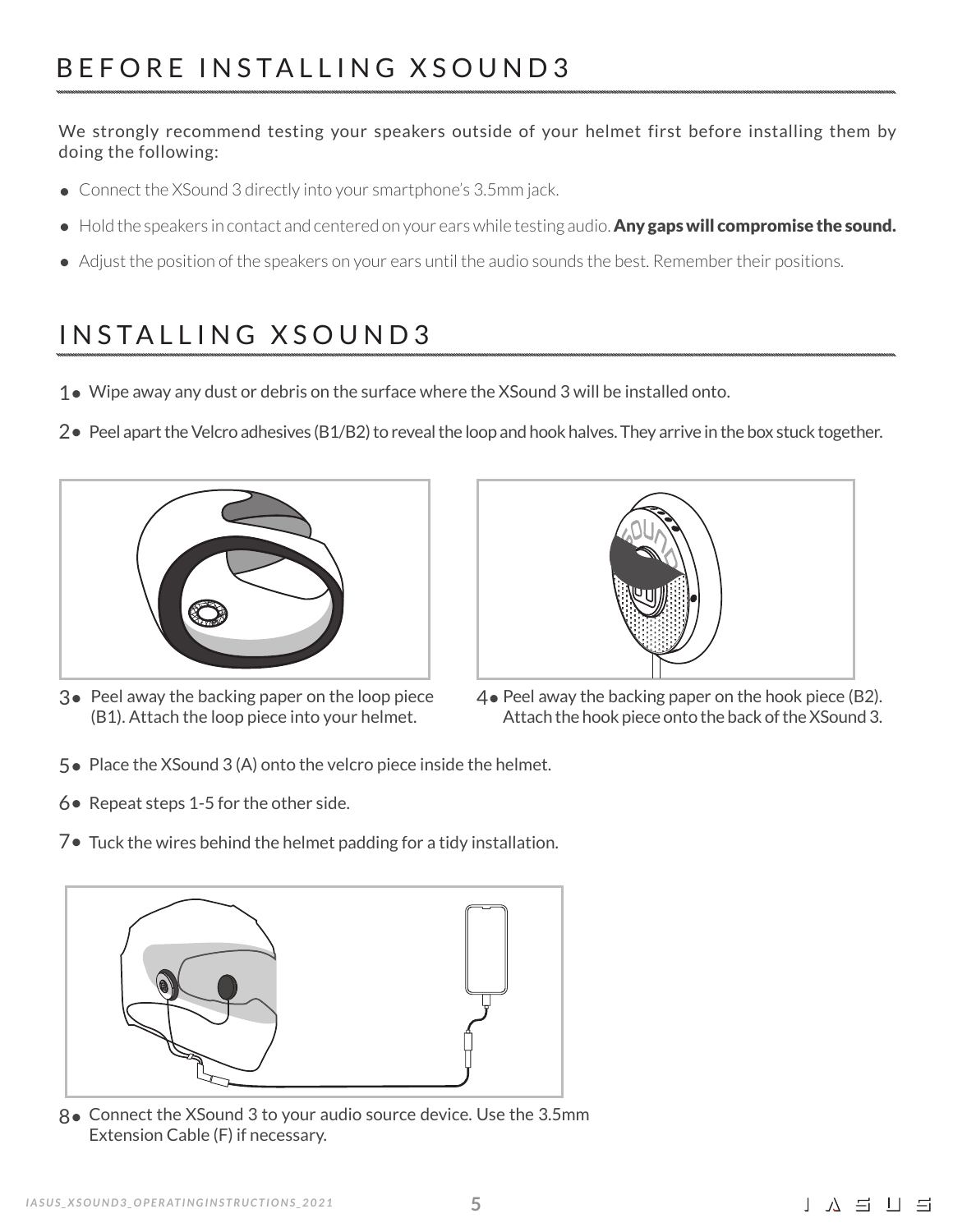We strongly recommend testing your speakers outside of your helmet first before installing them by doing the following:

- Connect the XSound 3 directly into your smartphone's 3.5mm jack. •
- Hold the speakers in contact and centered on your ears while testing audio. Any gaps will compromise the sound.
- Adjust the position of the speakers on your ears until the audio sounds the best. Remember their positions. •

### INSTALLING XSOUND3

- 1● Wipe away any dust or debris on the surface where the XSound 3 will be installed onto.
- 2• Peel apart the Velcro adhesives (B1/B2) to reveal the loop and hook halves. They arrive in the box stuck together.







- $4\bullet$  Peel away the backing paper on the hook piece (B2). Attach the hook piece onto the back of the XSound 3.
- 5● Place the XSound 3 (A) onto the velcro piece inside the helmet.
- 6 Repeat steps 1-5 for the other side.
- 7• Tuck the wires behind the helmet padding for a tidy installation.



Connect the XSound 3 to your audio source device. Use the 3.5mm 8• Extension Cable (F) if necessary.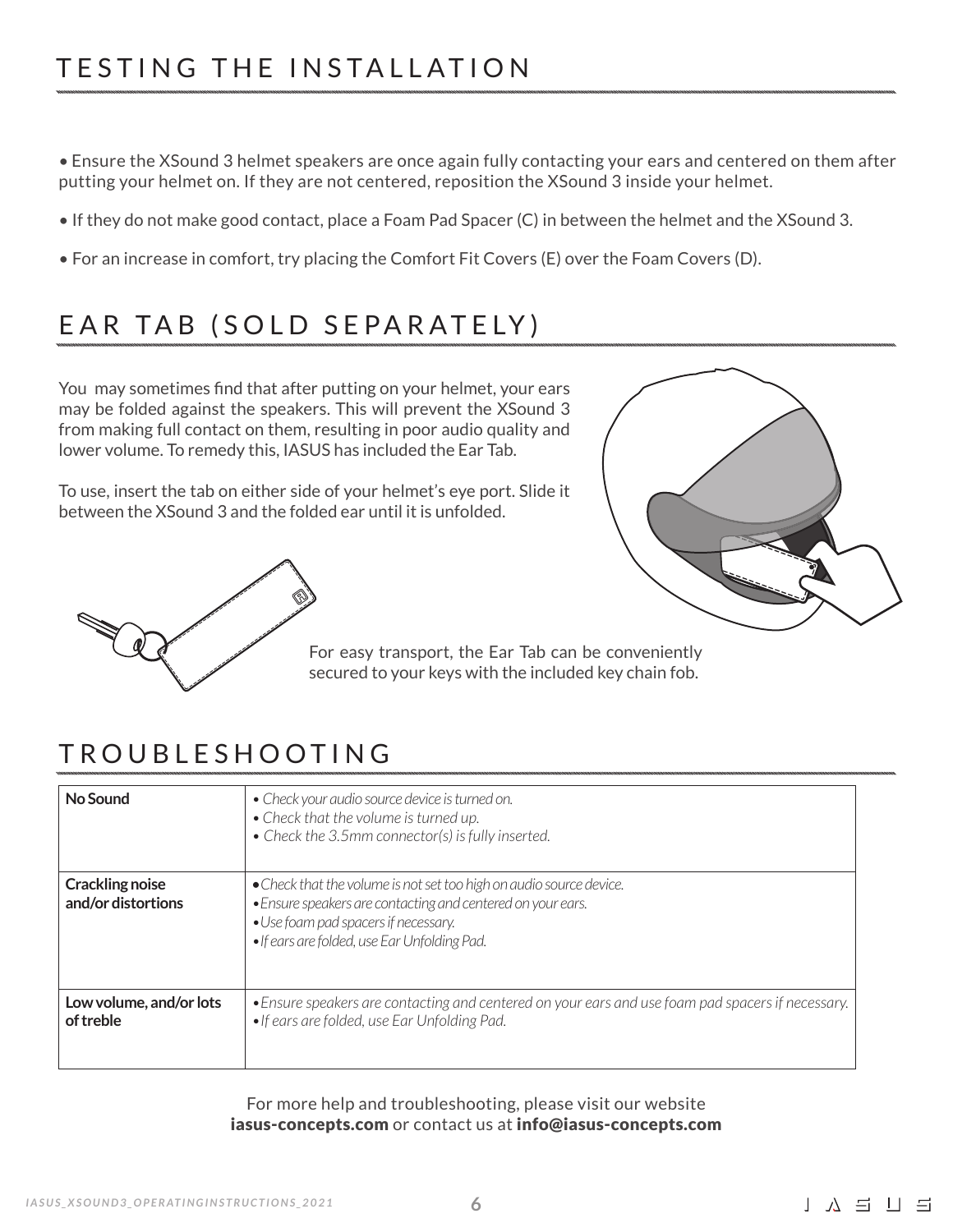• Ensure the XSound 3 helmet speakers are once again fully contacting your ears and centered on them after putting your helmet on. If they are not centered, reposition the XSound 3 inside your helmet.

- If they do not make good contact, place a Foam Pad Spacer (C) in between the helmet and the XSound 3.
- For an increase in comfort, try placing the Comfort Fit Covers (E) over the Foam Covers (D).

### EAR TAB (SOLD SEPARATELY)

You may sometimes find that after putting on your helmet, your ears may be folded against the speakers. This will prevent the XSound 3 from making full contact on them, resulting in poor audio quality and lower volume. To remedy this, IASUS has included the Ear Tab.

To use, insert the tab on either side of your helmet's eye port. Slide it between the XSound 3 and the folded ear until it is unfolded.





For easy transport, the Ear Tab can be conveniently secured to your keys with the included key chain fob.

### TROUBLESHOOTING

| No Sound                                     | • Check your audio source device is turned on.<br>• Check that the volume is turned up.<br>• Check the 3.5mm connector(s) is fully inserted.                                                                               |
|----------------------------------------------|----------------------------------------------------------------------------------------------------------------------------------------------------------------------------------------------------------------------------|
| <b>Crackling noise</b><br>and/or distortions | • Check that the volume is not set too high on audio source device.<br>• Ensure speakers are contacting and centered on your ears.<br>• Use foam pad spacers if necessary.<br>. If ears are folded, use Ear Unfolding Pad. |
| Low volume, and/or lots<br>of treble         | • Ensure speakers are contacting and centered on your ears and use foam pad spacers if necessary.<br>• If ears are folded, use Ear Unfolding Pad.                                                                          |

For more help and troubleshooting, please visit our website iasus-concepts.com or contact us at info@iasus-concepts.com